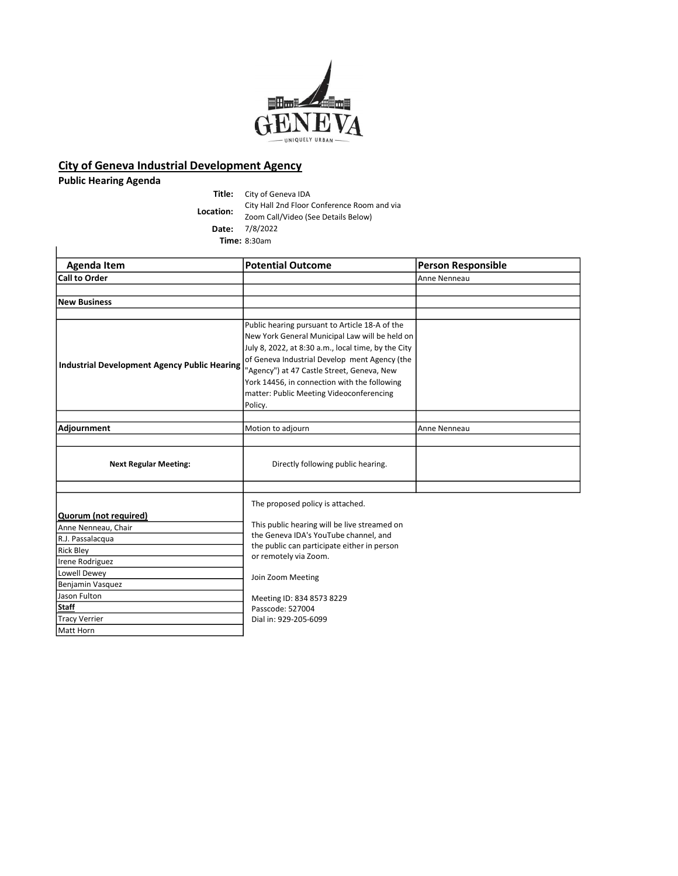

## City of Geneva Industrial Development Agency

Public Hearing Agenda

Title: City of Geneva IDA City Hall 2nd Floor Conference Room and via<br>
Team Call Video (See Details Relay) Zoom Call/Video (See Details Below) Date: 7/8/2022 Time: 8:30am

| <b>Agenda Item</b>                                  | <b>Potential Outcome</b>                                                                                      | <b>Person Responsible</b> |
|-----------------------------------------------------|---------------------------------------------------------------------------------------------------------------|---------------------------|
| <b>Call to Order</b>                                |                                                                                                               | Anne Nenneau              |
|                                                     |                                                                                                               |                           |
| <b>New Business</b>                                 |                                                                                                               |                           |
|                                                     |                                                                                                               |                           |
| <b>Industrial Development Agency Public Hearing</b> | Public hearing pursuant to Article 18-A of the                                                                |                           |
|                                                     | New York General Municipal Law will be held on                                                                |                           |
|                                                     | July 8, 2022, at 8:30 a.m., local time, by the City                                                           |                           |
|                                                     | of Geneva Industrial Develop ment Agency (the                                                                 |                           |
|                                                     | "Agency") at 47 Castle Street, Geneva, New                                                                    |                           |
|                                                     | York 14456, in connection with the following                                                                  |                           |
|                                                     | matter: Public Meeting Videoconferencing                                                                      |                           |
|                                                     | Policy.                                                                                                       |                           |
|                                                     |                                                                                                               |                           |
| Adjournment                                         | Motion to adjourn                                                                                             | Anne Nenneau              |
|                                                     |                                                                                                               |                           |
|                                                     |                                                                                                               |                           |
| <b>Next Regular Meeting:</b>                        | Directly following public hearing.                                                                            |                           |
|                                                     |                                                                                                               |                           |
|                                                     |                                                                                                               |                           |
|                                                     | The proposed policy is attached.                                                                              |                           |
| Quorum (not required)                               |                                                                                                               |                           |
| Anne Nenneau, Chair                                 | This public hearing will be live streamed on                                                                  |                           |
| R.J. Passalacqua                                    | the Geneva IDA's YouTube channel, and<br>the public can participate either in person<br>or remotely via Zoom. |                           |
|                                                     |                                                                                                               |                           |
| Rick Bley                                           |                                                                                                               |                           |
| Irene Rodriguez                                     |                                                                                                               |                           |
| Lowell Dewey                                        | Join Zoom Meeting                                                                                             |                           |
| Benjamin Vasquez                                    |                                                                                                               |                           |
| Jason Fulton                                        | Meeting ID: 834 8573 8229                                                                                     |                           |
| <b>Staff</b>                                        | Passcode: 527004                                                                                              |                           |
| Tracy Verrier                                       | Dial in: 929-205-6099                                                                                         |                           |
| Matt Horn                                           |                                                                                                               |                           |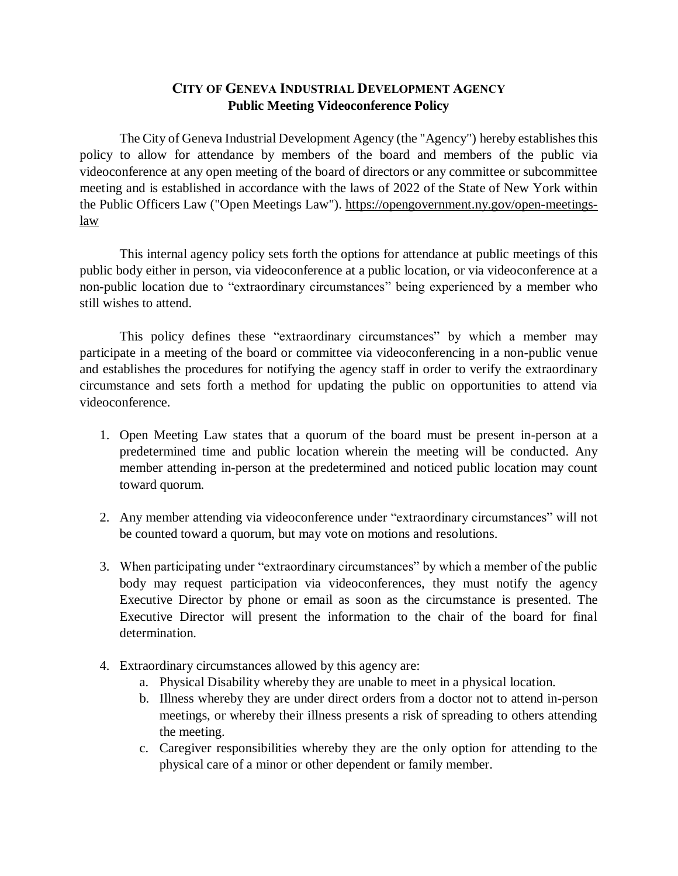## **CITY OF GENEVA INDUSTRIAL DEVELOPMENT AGENCY Public Meeting Videoconference Policy**

The City of Geneva Industrial Development Agency (the "Agency") hereby establishes this policy to allow for attendance by members of the board and members of the public via videoconference at any open meeting of the board of directors or any committee or subcommittee meeting and is established in accordance with the laws of 2022 of the State of New York within the Public Officers Law ("Open Meetings Law"). [https://opengovernment.ny.gov/open-meetings](https://opengovernment.ny.gov/open-meetings-law)[law](https://opengovernment.ny.gov/open-meetings-law)

This internal agency policy sets forth the options for attendance at public meetings of this public body either in person, via videoconference at a public location, or via videoconference at a non-public location due to "extraordinary circumstances" being experienced by a member who still wishes to attend.

This policy defines these "extraordinary circumstances" by which a member may participate in a meeting of the board or committee via videoconferencing in a non-public venue and establishes the procedures for notifying the agency staff in order to verify the extraordinary circumstance and sets forth a method for updating the public on opportunities to attend via videoconference.

- 1. Open Meeting Law states that a quorum of the board must be present in-person at a predetermined time and public location wherein the meeting will be conducted. Any member attending in-person at the predetermined and noticed public location may count toward quorum.
- 2. Any member attending via videoconference under "extraordinary circumstances" will not be counted toward a quorum, but may vote on motions and resolutions.
- 3. When participating under "extraordinary circumstances" by which a member of the public body may request participation via videoconferences, they must notify the agency Executive Director by phone or email as soon as the circumstance is presented. The Executive Director will present the information to the chair of the board for final determination.
- 4. Extraordinary circumstances allowed by this agency are:
	- a. Physical Disability whereby they are unable to meet in a physical location.
	- b. Illness whereby they are under direct orders from a doctor not to attend in-person meetings, or whereby their illness presents a risk of spreading to others attending the meeting.
	- c. Caregiver responsibilities whereby they are the only option for attending to the physical care of a minor or other dependent or family member.